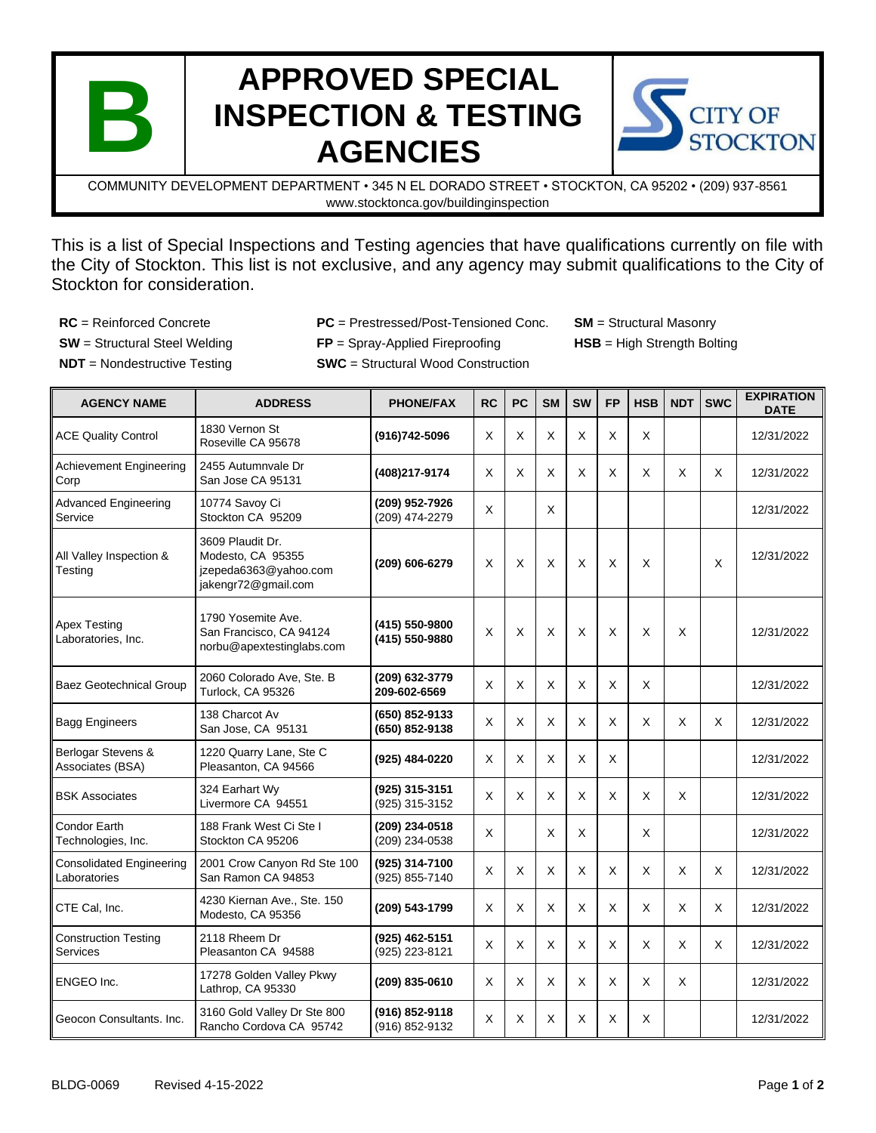

## **APPROVED SPECIAL INSPECTION & TESTING AGENCIES**



COMMUNITY DEVELOPMENT DEPARTMENT • 345 N EL DORADO STREET • STOCKTON, CA 95202 • (209) 937-8561 www.stocktonca.gov/buildinginspection

This is a list of Special Inspections and Testing agencies that have qualifications currently on file with the City of Stockton. This list is not exclusive, and any agency may submit qualifications to the City of Stockton for consideration.

**NDT** = Nondestructive Testing **SWC** = Structural Wood Construction

**RC** = Reinforced Concrete **PC** = Prestressed/Post-Tensioned Conc. **SM** = Structural Masonry **SW** = Structural Steel Welding **FP** = Spray-Applied Fireproofing **HSB** = High Strength Bolting

| <b>AGENCY NAME</b>                              | <b>ADDRESS</b>                                                                        | <b>PHONE/FAX</b>                 | <b>RC</b> | <b>PC</b> | <b>SM</b> | <b>SW</b> | <b>FP</b> | <b>HSB</b> | <b>NDT</b> | <b>SWC</b>                | <b>EXPIRATION</b><br><b>DATE</b> |
|-------------------------------------------------|---------------------------------------------------------------------------------------|----------------------------------|-----------|-----------|-----------|-----------|-----------|------------|------------|---------------------------|----------------------------------|
| <b>ACE Quality Control</b>                      | 1830 Vernon St<br>Roseville CA 95678                                                  | (916)742-5096                    | X         | $\times$  | X         | X         | X         | X          |            |                           | 12/31/2022                       |
| <b>Achievement Engineering</b><br>Corp          | 2455 Autumnvale Dr<br>San Jose CA 95131                                               | (408)217-9174                    | X         | X         | X         | X         | X         | X          | X          | X                         | 12/31/2022                       |
| <b>Advanced Engineering</b><br>Service          | 10774 Savoy Ci<br>Stockton CA 95209                                                   | (209) 952-7926<br>(209) 474-2279 | X         |           | X         |           |           |            |            |                           | 12/31/2022                       |
| All Valley Inspection &<br>Testing              | 3609 Plaudit Dr.<br>Modesto, CA 95355<br>jzepeda6363@yahoo.com<br>jakengr72@gmail.com | (209) 606-6279                   | X         | X         | X         | X         | X         | X          |            | $\boldsymbol{\mathsf{X}}$ | 12/31/2022                       |
| <b>Apex Testing</b><br>Laboratories, Inc.       | 1790 Yosemite Ave.<br>San Francisco, CA 94124<br>norbu@apextestinglabs.com            | (415) 550-9800<br>(415) 550-9880 | X         | X         | X         | X         | X         | X          | X          |                           | 12/31/2022                       |
| <b>Baez Geotechnical Group</b>                  | 2060 Colorado Ave, Ste. B<br>Turlock. CA 95326                                        | (209) 632-3779<br>209-602-6569   | $\times$  | $\times$  | X         | X         | X         | X          |            |                           | 12/31/2022                       |
| <b>Bagg Engineers</b>                           | 138 Charcot Av<br>San Jose, CA 95131                                                  | (650) 852-9133<br>(650) 852-9138 | $\times$  | $\times$  | X         | X         | X         | X          | X          | X                         | 12/31/2022                       |
| Berlogar Stevens &<br>Associates (BSA)          | 1220 Quarry Lane, Ste C<br>Pleasanton, CA 94566                                       | (925) 484-0220                   | X         | X         | X         | X         | X         |            |            |                           | 12/31/2022                       |
| <b>BSK Associates</b>                           | 324 Earhart Wy<br>Livermore CA 94551                                                  | (925) 315-3151<br>(925) 315-3152 | X         | X         | X         | X         | X         | X          | X          |                           | 12/31/2022                       |
| Condor Earth<br>Technologies, Inc.              | 188 Frank West Ci Ste I<br>Stockton CA 95206                                          | (209) 234-0518<br>(209) 234-0538 | X         |           | X         | X         |           | X          |            |                           | 12/31/2022                       |
| <b>Consolidated Engineering</b><br>Laboratories | 2001 Crow Canyon Rd Ste 100<br>San Ramon CA 94853                                     | (925) 314-7100<br>(925) 855-7140 | X         | X         | X         | X         | X         | X          | X.         | X                         | 12/31/2022                       |
| CTE Cal, Inc.                                   | 4230 Kiernan Ave., Ste. 150<br>Modesto, CA 95356                                      | (209) 543-1799                   | X         | X         | X         | X         | X         | X          | X          | X                         | 12/31/2022                       |
| <b>Construction Testing</b><br>Services         | 2118 Rheem Dr<br>Pleasanton CA 94588                                                  | (925) 462-5151<br>(925) 223-8121 | X         | X         | X         | X         | X         | X          | X          | X                         | 12/31/2022                       |
| ENGEO Inc.                                      | 17278 Golden Valley Pkwy<br>Lathrop, CA 95330                                         | (209) 835-0610                   | X         | X         | X         | X         | X         | X          | X          |                           | 12/31/2022                       |
| Geocon Consultants. Inc.                        | 3160 Gold Valley Dr Ste 800<br>Rancho Cordova CA 95742                                | (916) 852-9118<br>(916) 852-9132 | X         | X         | X         | X         | X         | X          |            |                           | 12/31/2022                       |